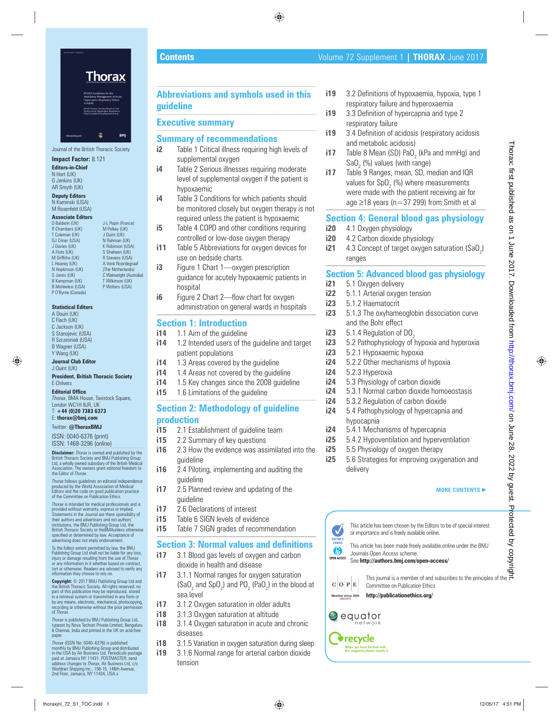Journal of the British Thoracic Society

J-L Pepin (France)<br>M Polkev (UK)

K Robinson (USA)

## **Impact Factor:** 8.121

**Editors-in-Chief** N Hart (UK) G Jenkins (UK) AR Smyth (UK)

**Deputy Editors** N Kaminski (USA) M Rosenfeld (USA)

## **Associate Editors**<br>D Baldwin (UK)

R Chambers (UK) T Coleman (UK) J Quint (UK)<br>GJ Criner (USA) N Rahman (U GJ Criner (USA) N Rahman (UK)<br>J Davies (UK) K Robinson (US A Floto (UK) S Shaheen (UK)<br>
M Griffiths (UK) R Stevens (USA M Griffiths (UK) R Stevens (USA)<br>
L Heaney (UK) A Vonk Noordegr L Heaney (UK) A Vonk Noordegraaf N Hopkinson (UK) (The Netherlands) S Janes (UK) C Wainwright (Australia)<br>
R Kampman (IIK) T Wilkinson (IIK) B Kampman (UK) T Wilkinson (UK) B Mohkelesi (USA) P Wolters (USA) P O'Byrne (Canada)

## **Statistical Editors**

A Douiri (UK) C Flach (UK) C Jackson (UK) S Stanojevic (USA) R Szczesniak (USA) B Wagner (USA) Y Wang (UK)

**Journal Club Editor** J Quint (UK)

## **President, British Thoracic Society** E Chilvers

**Editorial Office** 

*Thorax*, BMA House, Tavistock Square, London WC1H 9JR, UK T: **+44 (0)20 7383 6373**

E: **thorax@bmj.com**

Twitter: **@ThoraxBMJ**

ISSN: 0040-6376 (print) ISSN: 1468-3296 (online)

**Disclaimer:** *Thorax* is owned and published by the British Thoracic Society and BMJ Publishing Group Ltd, a wholly owned subsidiary of the British Medical ciation. The owners grant editorial freedom to the Editor of *Thorax*.

*Thorax* follows guidelines on editorial independence produced by the World Association of Medical Editors and the code on good publication practice of the Committee on Publication Ethics.

*Thorax* is intended for medical professionals and is provided without warranty, express or implied. Statements in the Journal are there sponsibility of their authors and advertisers and not authors' institutions, the BMJ Publishing Group Ltd, the British Thoracic Society or theBMAunless otherwise specifi ed or determined by law. Acceptance of advertising does not imply endorsement.

To the fullest extent permitted by law, the BMJ Publishing Group Ltd shall not be liable for any loss, injury or damage resulting from the use of *Thorax* or any information in it whether based on contract, tort or otherwise. Readers are advised to verify any information they choose to rely on.

**Copyright:** © 2017 BMJ Publishing Group Ltd and the British Thoracic Society. All rights reserved; no part of this publication may be reproduced, stored in a retrieval system or transmitted in any form or by any means, electronic, mechanical, photocopying, recording or otherwise without the prior permission of *Thorax*.

*Thorax* is published by BMJ Publishing Group Ltd, typeset by Nova Techset Private Limited, Bengaluru & Chennai, India and printed in the UK on acid-free paper.

*Thorax* (ISSN No: 0040–6376) is published monthly by BMJ Publishing Group and distributed in the USA by Air Business Ltd. Periodicals postage paid at Jamaica NY 11431. POSTMASTER: send address changes to *Thorax*, Air Business Ltd, c/o<br>Worldnet Shipping Inc., 156-15, 146th Avenue,<br>2nd Floor, Jamaica, NY 11434, USA.s

## **Abbreviations and symbols used in this guideline**

# **Executive summary**

## **Summary of recommendations**

- **i2** Table 1 Critical illness requiring high levels of supplemental oxygen
- **i4** Table 2 Serious illnesses requiring moderate level of supplemental oxygen if the patient is hypoxaemic
- **i4** Table 3 Conditions for which patients should be monitored closely but oxygen therapy is not required unless the patient is hypoxaemic
- **i5** Table 4 COPD and other conditions requiring controlled or low-dose oxygen therapy
- **i11** Table 5 Abbreviations for oxygen devices for use on bedside charts.
- **i3** Figure 1 Chart 1—oxygen prescription guidance for acutely hypoxaemic patients in hospital
- **i6** Figure 2 Chart 2—flow chart for oxygen administration on general wards in hospitals

# **Section 1: Introduction**<br>**i14** 1.1 Aim of the quideline

- 1.1 Aim of the guideline
- **i14** 1.2 Intended users of the guideline and target patient populations
- **i14** 1.3 Areas covered by the guideline
- **i14** 1.4 Areas not covered by the quideline
- **i14** 1.5 Key changes since the 2008 guideline
- **i15** 1.6 Limitations of the quideline

## **Section 2: Methodology of guideline production**

- **i15** 2.1 Establishment of guideline team
- **i15** 2.2 Summary of key questions
- **i16** 2.3 How the evidence was assimilated into the guideline
- **i16** 2.4 Piloting, implementing and auditing the guideline
- **i17** 2.5 Planned review and updating of the guideline
- **i17** 2.6 Declarations of interest
- **i15** Table 6 SIGN levels of evidence
- **i15** Table 7 SIGN grades of recommendation

## **Section 3: Normal values and definitions**

- **i17** 3.1 Blood gas levels of oxygen and carbon dioxide in health and disease
- **i17** 3.1.1 Normal ranges for oxygen saturation  $(SaO<sub>2</sub>$  and  $SpO<sub>2</sub>)$  and  $PO<sub>2</sub>$  (PaO<sub>2</sub>) in the blood at sea level
- **i17** 3.1.2 Oxygen saturation in older adults
- **i18** 3.1.3 Oxygen saturation at altitude
- **i18** 3.1.4 Oxygen saturation in acute and chronic diseases
- **i18** 3.1.5 Variation in oxygen saturation during sleep
- **i19** 3.1.6 Normal range for arterial carbon dioxide tension
- **i19** 3.2 Definitions of hypoxaemia, hypoxia, type 1 respiratory failure and hyperoxaemia
- **i19** 3.3 Definition of hypercapnia and type 2 respiratory failure
- **i19** 3.4 Definition of acidosis (respiratory acidosis and metabolic acidosis)
- **i17** Table 8 Mean (SD) PaO<sub>2</sub> (kPa and mmHg) and SaO<sub>2</sub> (%) values (with range)
- **i17** Table 9 Ranges, mean, SD, median and IQR values for SpO<sub>2</sub> (%) where measurements were made with the patient receiving air for age ≥18 years (n=37 299) from Smith et al

## **Section 4: General blood gas physiology**

- **i20** 4.1 Oxygen physiology
- **i20** 4.2 Carbon dioxide physiology
- **i21**  $\quad$  4.3 Concept of target oxygen saturation (SaO<sub>2</sub>) ranges

## **Section 5: Advanced blood gas physiology**

- **i21** 5.1 Oxygen delivery
- **i22** 5.1.1 Arterial oxygen tension
- **i23** 5.1.2 Haematocrit
- **i23** 5.1.3 The oxyhameoglobin dissociation curve and the Bohr effect
- **i23**  $5.1.4$  Regulation of DO<sub>2</sub><br>**i23**  $5.2$  Pathophysiology of l
- **i23** 5.2 Pathophysiology of hypoxia and hyperoxia
- **i23** 5.2.1 Hypoxaemic hypoxia
- **i24** 5.2.2 Other mechanisms of hypoxia
- **i24** 5.2.3 Hyperoxia
- **i24** 5.3 Physiology of carbon dioxide
- **i24** 5.3.1 Normal carbon dioxide homoeostasis
- **i24** 5.3.2 Regulation of carbon dioxide
- **i24** 5.4 Pathophysiology of hypercapnia and hypocapnia
- **i24** 5.4.1 Mechanisms of hypercapnia
- **i25** 5.4.2 Hypoventilation and hyperventilation
- **i25** 5.5 Physiology of oxygen therapy<br>**i25** 5.6 Strategies for improving oxyg
- **i25** 5.6 Strategies for improving oxygenation and delivery

## **MORE CONTENTS** -

This article has been chosen by the Editors to be of special interest or importance and is freely available online.

**OPEN ACCESS** This article has been made freely available online under the BMJ Journals Open Access scheme.

See **http://authors.bmj.com/open-access/**



This journal is a member of and subscribes to the principles of the Committee on Publication Ethics **http://publicationethics.org/**

 **Contents** Volume 72 Supplement 1 **| THORAX** June 2017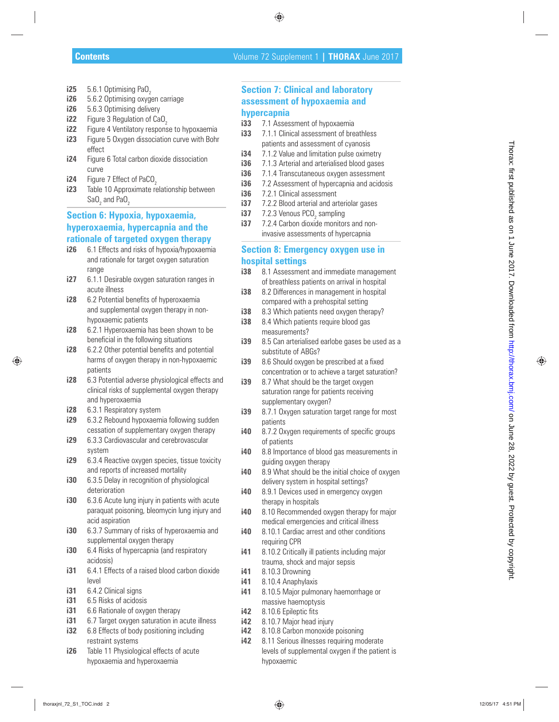- **i25** 5.6.1 Optimising PaO<sub>2</sub>
- **i26** 5.6.2 Optimising oxygen carriage
- **i26** 5.6.3 Optimising delivery
- **i22** Figure 3 Regulation of CaO<sub>2</sub>
- **i22** Figure 4 Ventilatory response to hypoxaemia
- **i23** Figure 5 Oxygen dissociation curve with Bohr effect
- **i24** Figure 6 Total carbon dioxide dissociation curve
- **i24** Figure 7 Effect of PaCO 2
- **i23** Table 10 Approximate relationship between SaO<sub>2</sub> and PaO<sub>2</sub>

# **Section 6: Hypoxia, hypoxaemia, hyperoxaemia, hypercapnia and the rationale of targeted oxygen therapy** the statistic distribution of the statistic distribution of the statistical published as a statistical published as  $\sqrt{t}$  and  $\sqrt{t}$  and  $\sqrt{t}$  and  $\sqrt{t}$  and  $\sqrt{t}$  and  $\sqrt{t}$  and  $\sqrt{t}$  and  $\sqrt{t}$  and  $\sqrt{t}$

- **i26** 6.1 Effects and risks of hypoxia/hypoxaemia and rationale for target oxygen saturation range
- **i27** 6.1.1 Desirable oxygen saturation ranges in acute illness
- **i28** 6.2 Potential benefits of hyperoxaemia and supplemental oxygen therapy in nonhypoxaemic patients
- **i28** 6.2.1 Hyperoxaemia has been shown to be beneficial in the following situations
- **i28** 6.2.2 Other potential benefits and potential harms of oxygen therapy in non-hypoxaemic patients
- **i28** 6.3 Potential adverse physiological effects and clinical risks of supplemental oxygen therapy and hyperoxaemia
- **i28** 6.3.1 Respiratory system
- **i29** 6.3.2 Rebound hypoxaemia following sudden cessation of supplementary oxygen therapy
- **i29** 6.3.3 Cardiovascular and cerebrovascular system
- **i29** 6.3.4 Reactive oxygen species, tissue toxicity and reports of increased mortality
- **i30** 6.3.5 Delay in recognition of physiological deterioration
- **i30** 6.3.6 Acute lung injury in patients with acute paraquat poisoning, bleomycin lung injury and acid aspiration
- **i30** 6.3.7 Summary of risks of hyperoxaemia and supplemental oxygen therapy
- **i30** 6.4 Risks of hypercapnia (and respiratory acidosis)
- **i31** 6.4.1 Effects of a raised blood carbon dioxide level
- **i31** 6.4.2 Clinical signs
- **i31** 6.5 Risks of acidosis
- **i31** 6.6 Rationale of oxygen therapy
- **i31** 6.7 Target oxygen saturation in acute illness
- **i32** 6.8 Effects of body positioning including restraint systems
- **i26** Table 11 Physiological effects of acute hypoxaemia and hyperoxaemia

## **Section 7: Clinical and laboratory assessment of hypoxaemia and hypercapnia**

- **i33** 7.1 Assessment of hypoxaemia
- **i33** 7.1.1 Clinical assessment of breathless patients and assessment of cyanosis
- **i34** 7.1.2 Value and limitation pulse oximetry
- **i36** 7.1.3 Arterial and arterialised blood gases
- **i36** 7.1.4 Transcutaneous oxygen assessment
- **i36** 7.2 Assessment of hypercapnia and acidosis
- **i36** 7.2.1 Clinical assessment
- **i37** 7.2.2 Blood arterial and arteriolar gases
- **i37** 7.2.3 Venous PCO<sub>2</sub> sampling
- **i37** 7.2.4 Carbon dioxide monitors and noninvasive assessments of hypercapnia

## **Section 8: Emergency oxygen use in hospital settings**

- **i38** 8.1 Assessment and immediate management of breathless patients on arrival in hospital
- **i38** 8.2 Differences in management in hospital compared with a prehospital setting
- **i38** 8.3 Which patients need oxygen therapy?
- **i38** 8.4 Which patients require blood gas measurements?
- **i39** 8.5 Can arterialised earlobe gases be used as a substitute of ABGs?
- **i39** 8.6 Should oxygen be prescribed at a fixed concentration or to achieve a target saturation?
- **i39** 8.7 What should be the target oxygen saturation range for patients receiving supplementary oxygen?
- **i39** 8.7.1 Oxygen saturation target range for most patients
- **i40** 8.7.2 Oxygen requirements of specific groups of patients
- **i40** 8.8 Importance of blood gas measurements in guiding oxygen therapy
- **i40** 8.9 What should be the initial choice of oxygen delivery system in hospital settings?
- **i40** 8.9.1 Devices used in emergency oxygen therapy in hospitals
- **i40** 8.10 Recommended oxygen therapy for major medical emergencies and critical illness
- **i40** 8.10.1 Cardiac arrest and other conditions requiring CPR
- **i41** 8.10.2 Critically ill patients including major trauma, shock and major sepsis
- **i41** 8.10.3 Drowning
- **i41** 8.10.4 Anaphylaxis
- **i41** 8.10.5 Major pulmonary haemorrhage or massive haemoptysis
- **i42** 8.10.6 Epileptic fits
- **i42** 8.10.7 Major head injury
- **i42** 8.10.8 Carbon monoxide poisoning
- **i42** 8.11 Serious illnesses requiring moderate levels of supplemental oxygen if the patient is hypoxaemic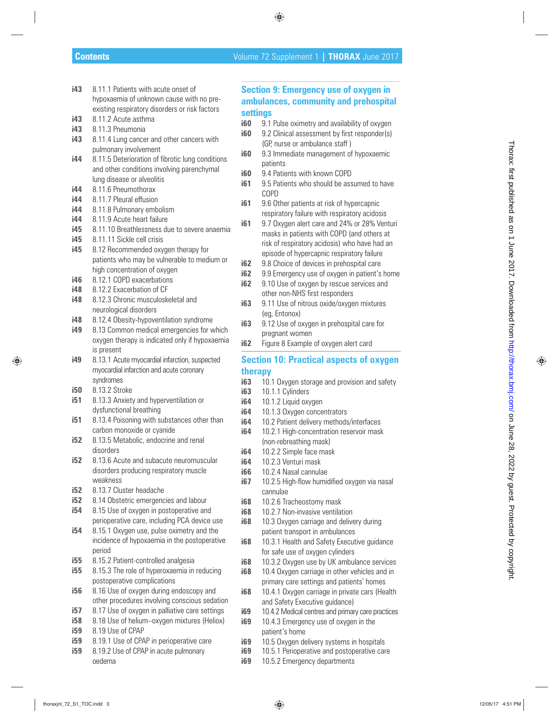- **i43** 8.11.1 Patients with acute onset of hypoxaemia of unknown cause with no pre existing respiratory disorders or risk factors
- **i43** 8.11.2 Acute asthma
- **i43** 8.11.3 Pneumonia
- **i43** 8.11.4 Lung cancer and other cancers with pulmonary involvement
- **i44** 8.11.5 Deterioration of fibrotic lung conditions and other conditions involving parenchymal lung disease or alveolitis
- **i44** 8.11.6 Pneumothorax
- **i44** 8.11.7 Pleural effusion
- **i44** 8.11.8 Pulmonary embolism
- **i44** 8.11.9 Acute heart failure
- **i45** 8.11.10 Breathlessness due to severe anaemia
- **i45** 8.11.11 Sickle cell crisis
- **i45** 8.12 Recommended oxygen therapy for patients who may be vulnerable to medium or high concentration of oxygen
- **i46** 8.12.1 COPD exacerbations
- **i48** 8.12.2 Exacerbation of CF
- **i48** 8.12.3 Chronic musculoskeletal and neurological disorders
- **i48** 8.12.4 Obesity-hypoventilation syndrome
- **i49** 8.13 Common medical emergencies for which oxygen therapy is indicated only if hypoxaemia is present
- **i49** 8.13.1 Acute myocardial infarction, suspected myocardial infarction and acute coronary syndromes
- **i50** 8.13.2 Stroke
- **i51** 8.13.3 Anxiety and hyperventilation or dysfunctional breathing
- **i51** 8.13.4 Poisoning with substances other than carbon monoxide or cyanide
- **i52** 8.13.5 Metabolic, endocrine and renal disorders
- **i52** 8.13.6 Acute and subacute neuromuscular disorders producing respiratory muscle weakness
- **i52** 8.13.7 Cluster headache
- **i52** 8.14 Obstetric emergencies and labour
- **i54** 8.15 Use of oxygen in postoperative and perioperative care, including PCA device use
- **i54** 8.15.1 Oxygen use, pulse oximetry and the incidence of hypoxaemia in the postoperative period
- **i55** 8.15.2 Patient-controlled analgesia
- **i55** 8.15.3 The role of hyperoxaemia in reducing postoperative complications
- **i56** 8.16 Use of oxygen during endoscopy and other procedures involving conscious sedation
- **i57** 8.17 Use of oxygen in palliative care settings
- **i58** 8.18 Use of helium–oxygen mixtures (Heliox)
- **i59** 8.19 Use of CPAP
- **i59** 8.19.1 Use of CPAP in perioperative care
- **i59** 8.19.2 Use of CPAP in acute pulmonary oedema

## **Section 9: Emergency use of oxygen in ambulances, community and prehospital settings**

- **i60** 9.1 Pulse oximetry and availability of oxygen
- **i60** 9.2 Clinical assessment by first responder(s) (GP, nurse or ambulance staff )
- **i60** 9.3 Immediate management of hypoxaemic patients
- **i60** 9.4 Patients with known COPD
- **i61** 9.5 Patients who should be assumed to have COPD
- **i61** 9.6 Other patients at risk of hypercapnic respiratory failure with respiratory acidosis
- **i61** 9.7 Oxygen alert care and 24% or 28% Venturi masks in patients with COPD (and others at risk of respiratory acidosis) who have had an episode of hypercapnic respiratory failure the first control of the control of the stress of the stress of the stress of the stress of the stress of the stress of the stress of the stress of the stress of the stress of the stress of the stress of the stress of th
	- **i62** 9.8 Choice of devices in prehospital care
	- **i62** 9.9 Emergency use of oxygen in patient's home
	- **i62** 9.10 Use of oxygen by rescue services and other non-NHS first responders
	- **i63** 9.11 Use of nitrous oxide/oxygen mixtures (eg, Entonox)
	- **i63** 9.12 Use of oxygen in prehospital care for pregnant women
	- **i62** Figure 8 Example of oxygen alert card

## **Section 10: Practical aspects of oxygen therapy**

- **i63** 10.1 Oxygen storage and provision and safety
- **i63** 10.1.1 Cylinders
- **i64** 10.1.2 Liquid oxygen
- **i64** 10.1.3 Oxygen concentrators
- **i64** 10.2 Patient delivery methods/interfaces
- **i64** 10.2.1 High-concentration reservoir mask (non-rebreathing mask)
- **i64** 10.2.2 Simple face mask
- **i64** 10.2.3 Venturi mask
- **i66** 10.2.4 Nasal cannulae
- **i67** 10.2.5 High-flow humidified oxygen via nasal cannulae
- **i68** 10.2.6 Tracheostomy mask
- **i68** 10.2.7 Non-invasive ventilation
- **i68** 10.3 Oxygen carriage and delivery during patient transport in ambulances
- **i68** 10.3.1 Health and Safety Executive guidance for safe use of oxygen cylinders
- **i68** 10.3.2 Oxygen use by UK ambulance services
- **i68** 10.4 Oxygen carriage in other vehicles and in primary care settings and patients' homes
- **i68** 10.4.1 Oxygen carriage in private cars (Health and Safety Executive guidance)
- **i69** 10.4.2 Medical centres and primary care practices
- **i69** 10.4.3 Emergency use of oxygen in the patient's home
- **i69** 10.5 Oxygen delivery systems in hospitals
- **i69** 10.5.1 Perioperative and postoperative care
- **i69 10.5.2 Emergency departments**